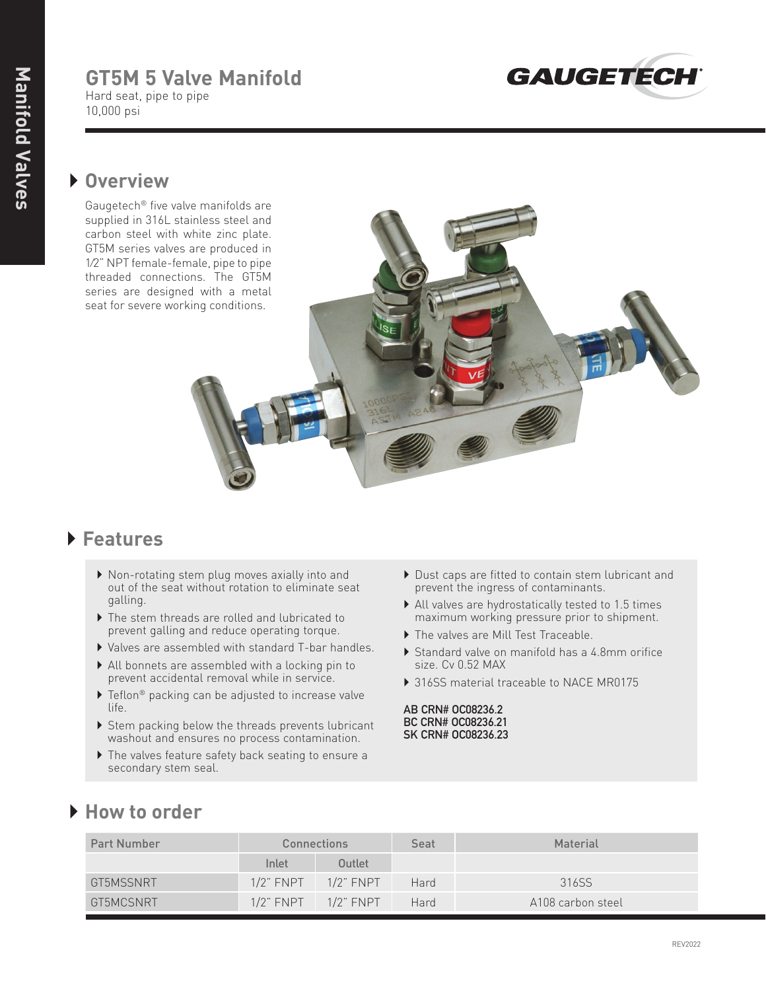# **GT5M 5 Valve Manifold**

Hard seat, pipe to pipe 10,000 psi



## } **Overview**

Gaugetech® five valve manifolds are supplied in 316L stainless steel and carbon steel with white zinc plate. GT5M series valves are produced in 1⁄2" NPT female-female, pipe to pipe threaded connections. The GT5M series are designed with a metal seat for severe working conditions.



#### } **Features**

- } Non-rotating stem plug moves axially into and out of the seat without rotation to eliminate seat galling.
- } The stem threads are rolled and lubricated to prevent galling and reduce operating torque.
- } Valves are assembled with standard T-bar handles.
- } All bonnets are assembled with a locking pin to prevent accidental removal while in service.
- $\blacktriangleright$  Teflon® packing can be adjusted to increase valve life.
- ▶ Stem packing below the threads prevents lubricant washout and ensures no process contamination.
- } The valves feature safety back seating to ensure a secondary stem seal.
- } Dust caps are fitted to contain stem lubricant and prevent the ingress of contaminants.
- } All valves are hydrostatically tested to 1.5 times maximum working pressure prior to shipment.
- } The valves are Mill Test Traceable.
- } Standard valve on manifold has a 4.8mm orifice size. Cv 0.52 MAX
- ▶ 316SS material traceable to NACE MR0175

**AB CRN# OC08236.2 BC CRN# OC08236.21 SK CRN# OC08236.23**

### } **How to order**

| <b>Part Number</b> |                | Connections               | Seat | Material          |
|--------------------|----------------|---------------------------|------|-------------------|
|                    | Inlet          | Outlet                    |      |                   |
| GT5MSSNRT          | $1/2$ " $FNPT$ | $1/2$ " FNPT              | Hard | 316SS             |
| GT5MCSNRT          |                | $1/2$ " FNPT $1/2$ " FNPT | Hard | A108 carbon steel |